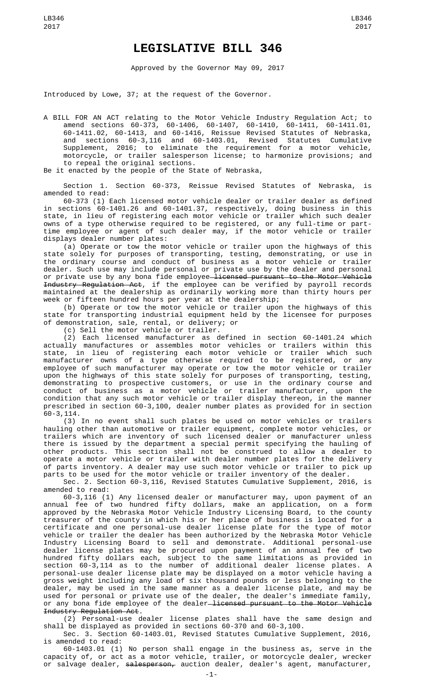## **LEGISLATIVE BILL 346**

Approved by the Governor May 09, 2017

Introduced by Lowe, 37; at the request of the Governor.

A BILL FOR AN ACT relating to the Motor Vehicle Industry Regulation Act; to amend sections 60-373, 60-1406, 60-1407, 60-1410, 60-1411, 60-1411.01, 60-1411.02, 60-1413, and 60-1416, Reissue Revised Statutes of Nebraska, and sections 60-3,116 and 60-1403.01, Revised Statutes Cumulative Supplement, 2016; to eliminate the requirement for a motor vehicle, motorcycle, or trailer salesperson license; to harmonize provisions; and to repeal the original sections.

Be it enacted by the people of the State of Nebraska,

Section 1. Section 60-373, Reissue Revised Statutes of Nebraska, is amended to read:

60-373 (1) Each licensed motor vehicle dealer or trailer dealer as defined in sections 60-1401.26 and 60-1401.37, respectively, doing business in this state, in lieu of registering each motor vehicle or trailer which such dealer owns of a type otherwise required to be registered, or any full-time or parttime employee or agent of such dealer may, if the motor vehicle or trailer displays dealer number plates:

(a) Operate or tow the motor vehicle or trailer upon the highways of this state solely for purposes of transporting, testing, demonstrating, or use in the ordinary course and conduct of business as a motor vehicle or trailer dealer. Such use may include personal or private use by the dealer and personal or private use by any bona fide employee<del> licensed pursuant to the Motor Vehicle</del> Industry Regulation Act, if the employee can be verified by payroll records maintained at the dealership as ordinarily working more than thirty hours per week or fifteen hundred hours per year at the dealership;

(b) Operate or tow the motor vehicle or trailer upon the highways of this state for transporting industrial equipment held by the licensee for purposes of demonstration, sale, rental, or delivery; or

(c) Sell the motor vehicle or trailer.

(2) Each licensed manufacturer as defined in section 60-1401.24 which actually manufactures or assembles motor vehicles or trailers within this state, in lieu of registering each motor vehicle or trailer which such manufacturer owns of a type otherwise required to be registered, or any employee of such manufacturer may operate or tow the motor vehicle or trailer upon the highways of this state solely for purposes of transporting, testing, demonstrating to prospective customers, or use in the ordinary course and conduct of business as a motor vehicle or trailer manufacturer, upon the condition that any such motor vehicle or trailer display thereon, in the manner prescribed in section 60-3,100, dealer number plates as provided for in section 60-3,114.

(3) In no event shall such plates be used on motor vehicles or trailers hauling other than automotive or trailer equipment, complete motor vehicles, or trailers which are inventory of such licensed dealer or manufacturer unless there is issued by the department a special permit specifying the hauling of other products. This section shall not be construed to allow a dealer to operate a motor vehicle or trailer with dealer number plates for the delivery of parts inventory. A dealer may use such motor vehicle or trailer to pick up parts to be used for the motor vehicle or trailer inventory of the dealer.

Sec. 2. Section 60-3,116, Revised Statutes Cumulative Supplement, 2016, is amended to read:

60-3,116 (1) Any licensed dealer or manufacturer may, upon payment of an annual fee of two hundred fifty dollars, make an application, on a form approved by the Nebraska Motor Vehicle Industry Licensing Board, to the county treasurer of the county in which his or her place of business is located for a certificate and one personal-use dealer license plate for the type of motor vehicle or trailer the dealer has been authorized by the Nebraska Motor Vehicle Industry Licensing Board to sell and demonstrate. Additional personal-use dealer license plates may be procured upon payment of an annual fee of two hundred fifty dollars each, subject to the same limitations as provided in section 60-3,114 as to the number of additional dealer license plates. A personal-use dealer license plate may be displayed on a motor vehicle having a gross weight including any load of six thousand pounds or less belonging to the dealer, may be used in the same manner as a dealer license plate, and may be used for personal or private use of the dealer, the dealer's immediate family, or any bona fide employee of the dealer-licensed pursuant to the Motor Vehicle Industry Regulation Act.

(2) Personal-use dealer license plates shall have the same design and shall be displayed as provided in sections 60-370 and 60-3,100.

Sec. 3. Section 60-1403.01, Revised Statutes Cumulative Supplement, 2016, is amended to read:

60-1403.01 (1) No person shall engage in the business as, serve in the capacity of, or act as a motor vehicle, trailer, or motorcycle dealer, wrecker or salvage dealer, <del>salesperson,</del> auction dealer, dealer's agent, manufacturer,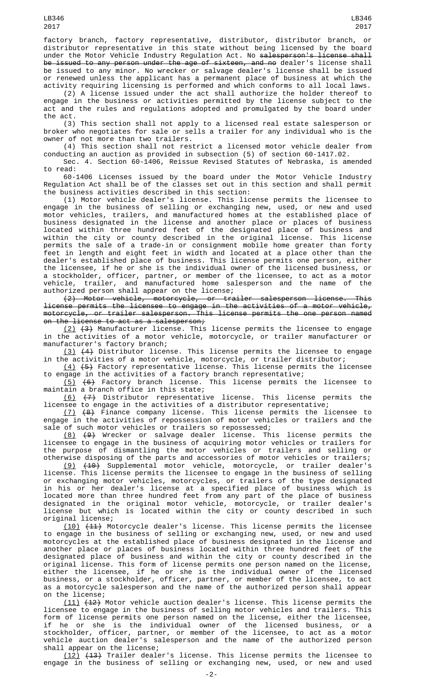factory branch, factory representative, distributor, distributor branch, or distributor representative in this state without being licensed by the board under the Motor Vehicle Industry Regulation Act. No salesperson's license shall be issued to any person under the age of sixteen, and no dealer's license shall be issued to any minor. No wrecker or salvage dealer's license shall be issued or renewed unless the applicant has a permanent place of business at which the activity requiring licensing is performed and which conforms to all local laws.

(2) A license issued under the act shall authorize the holder thereof to engage in the business or activities permitted by the license subject to the act and the rules and regulations adopted and promulgated by the board under the act.

(3) This section shall not apply to a licensed real estate salesperson or broker who negotiates for sale or sells a trailer for any individual who is the owner of not more than two trailers.

(4) This section shall not restrict a licensed motor vehicle dealer from conducting an auction as provided in subsection (5) of section 60-1417.02.

Sec. 4. Section 60-1406, Reissue Revised Statutes of Nebraska, is amended to read:

60-1406 Licenses issued by the board under the Motor Vehicle Industry Regulation Act shall be of the classes set out in this section and shall permit the business activities described in this section:

(1) Motor vehicle dealer's license. This license permits the licensee to engage in the business of selling or exchanging new, used, or new and used motor vehicles, trailers, and manufactured homes at the established place of business designated in the license and another place or places of business located within three hundred feet of the designated place of business and within the city or county described in the original license. This license permits the sale of a trade-in or consignment mobile home greater than forty feet in length and eight feet in width and located at a place other than the dealer's established place of business. This license permits one person, either the licensee, if he or she is the individual owner of the licensed business, or a stockholder, officer, partner, or member of the licensee, to act as a motor vehicle, trailer, and manufactured home salesperson and the name of the authorized person shall appear on the license;

(2) Motor vehicle, motorcycle, or trailer salesperson license. This license permits the licensee to engage in the activities of a motor vehicle, motorcycle, or trailer salesperson. This license permits the one person named on the license to act as a salesperson;

(2) (3) Manufacturer license. This license permits the licensee to engage in the activities of a motor vehicle, motorcycle, or trailer manufacturer or manufacturer's factory branch;

(3) (4) Distributor license. This license permits the licensee to engage in the activities of a motor vehicle, motorcycle, or trailer distributor;

 $(4)$   $(5)$  Factory representative license. This license permits the licensee to engage in the activities of a factory branch representative;

(5) (6) Factory branch license. This license permits the licensee to maintain a branch office in this state;

 $(6)$   $(7)$  Distributor representative license. This license permits the licensee to engage in the activities of a distributor representative;

(7) (8) Finance company license. This license permits the licensee to engage in the activities of repossession of motor vehicles or trailers and the sale of such motor vehicles or trailers so repossessed;

(8) (9) Wrecker or salvage dealer license. This license permits the licensee to engage in the business of acquiring motor vehicles or trailers for the purpose of dismantling the motor vehicles or trailers and selling or otherwise disposing of the parts and accessories of motor vehicles or trailers;

(9) (10) Supplemental motor vehicle, motorcycle, or trailer dealer's license. This license permits the licensee to engage in the business of selling or exchanging motor vehicles, motorcycles, or trailers of the type designated in his or her dealer's license at a specified place of business which is located more than three hundred feet from any part of the place of business designated in the original motor vehicle, motorcycle, or trailer dealer's license but which is located within the city or county described in such original license;

(10) (11) Motorcycle dealer's license. This license permits the licensee to engage in the business of selling or exchanging new, used, or new and used motorcycles at the established place of business designated in the license and another place or places of business located within three hundred feet of the designated place of business and within the city or county described in the original license. This form of license permits one person named on the license, either the licensee, if he or she is the individual owner of the licensed business, or a stockholder, officer, partner, or member of the licensee, to act as a motorcycle salesperson and the name of the authorized person shall appear on the license;

(11) (12) Motor vehicle auction dealer's license. This license permits the licensee to engage in the business of selling motor vehicles and trailers. This form of license permits one person named on the license, either the licensee, if he or she is the individual owner of the licensed business, or a stockholder, officer, partner, or member of the licensee, to act as a motor vehicle auction dealer's salesperson and the name of the authorized person shall appear on the license;

(12) (13) Trailer dealer's license. This license permits the licensee to engage in the business of selling or exchanging new, used, or new and used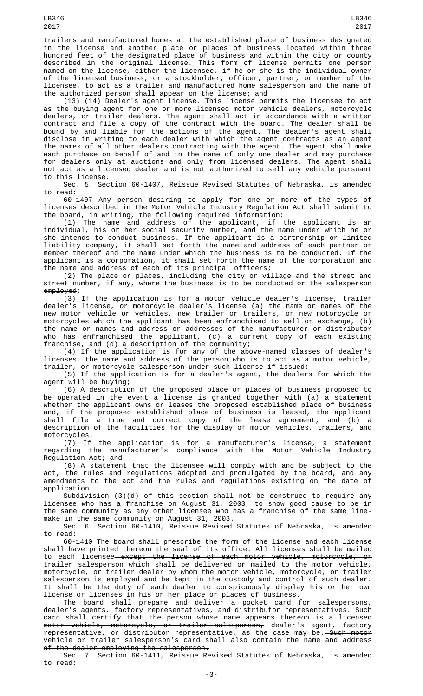trailers and manufactured homes at the established place of business designated in the license and another place or places of business located within three hundred feet of the designated place of business and within the city or county described in the original license. This form of license permits one person named on the license, either the licensee, if he or she is the individual owner of the licensed business, or a stockholder, officer, partner, or member of the licensee, to act as a trailer and manufactured home salesperson and the name of the authorized person shall appear on the license; and

(13) (14) Dealer's agent license. This license permits the licensee to act as the buying agent for one or more licensed motor vehicle dealers, motorcycle dealers, or trailer dealers. The agent shall act in accordance with a written contract and file a copy of the contract with the board. The dealer shall be bound by and liable for the actions of the agent. The dealer's agent shall disclose in writing to each dealer with which the agent contracts as an agent the names of all other dealers contracting with the agent. The agent shall make each purchase on behalf of and in the name of only one dealer and may purchase for dealers only at auctions and only from licensed dealers. The agent shall not act as a licensed dealer and is not authorized to sell any vehicle pursuant to this license.

Sec. 5. Section 60-1407, Reissue Revised Statutes of Nebraska, is amended to read:

60-1407 Any person desiring to apply for one or more of the types of licenses described in the Motor Vehicle Industry Regulation Act shall submit to the board, in writing, the following required information:

(1) The name and address of the applicant, if the applicant is an individual, his or her social security number, and the name under which he or she intends to conduct business. If the applicant is a partnership or limited liability company, it shall set forth the name and address of each partner or member thereof and the name under which the business is to be conducted. If the applicant is a corporation, it shall set forth the name of the corporation and the name and address of each of its principal officers;

(2) The place or places, including the city or village and the street and street number, if any, where the business is to be conducted—<del>or the salesperson</del> employed;

(3) If the application is for a motor vehicle dealer's license, trailer dealer's license, or motorcycle dealer's license (a) the name or names of the new motor vehicle or vehicles, new trailer or trailers, or new motorcycle or motorcycles which the applicant has been enfranchised to sell or exchange, (b) the name or names and address or addresses of the manufacturer or distributor who has enfranchised the applicant, (c) a current copy of each existing franchise, and (d) a description of the community;

(4) If the application is for any of the above-named classes of dealer's licenses, the name and address of the person who is to act as a motor vehicle, trailer, or motorcycle salesperson under such license if issued;

(5) If the application is for a dealer's agent, the dealers for which the agent will be buying;

(6) A description of the proposed place or places of business proposed to be operated in the event a license is granted together with (a) a statement whether the applicant owns or leases the proposed established place of business and, if the proposed established place of business is leased, the applicant shall file a true and correct copy of the lease agreement, and (b) a description of the facilities for the display of motor vehicles, trailers, and motorcycles;

 $(7)$  If the application is for a manufacturer's license, a statement regarding the manufacturer's compliance with the Motor Vehicle Industry Regulation Act; and

(8) A statement that the licensee will comply with and be subject to the act, the rules and regulations adopted and promulgated by the board, and any amendments to the act and the rules and regulations existing on the date of application.

Subdivision (3)(d) of this section shall not be construed to require any licensee who has a franchise on August 31, 2003, to show good cause to be in the same community as any other licensee who has a franchise of the same linemake in the same community on August 31, 2003.

Sec. 6. Section 60-1410, Reissue Revised Statutes of Nebraska, is amended to read:

60-1410 The board shall prescribe the form of the license and each license shall have printed thereon the seal of its office. All licenses shall be mailed to each licensee except the license of each motor vehicle, motorcycle, or trailer salesperson which shall be delivered or mailed to the motor vehicle, motorcycle, or trailer dealer by whom the motor vehicle, motorcycle, or trailer salesperson is employed and be kept in the custody and control of such dealer. It shall be the duty of each dealer to conspicuously display his or her own license or licenses in his or her place or places of business.

The board shall prepare and deliver a pocket card for salespersons, dealer's agents, factory representatives, and distributor representatives. Such card shall certify that the person whose name appears thereon is a licensed m<del>otor vehicle, motorcycle, or trailer salesperson,</del> dealer's agent, factory representative, or distributor representative, as the case may be.—<del>Such motor</del> vehicle or trailer salesperson's card shall also contain the name and address<br>of the dealer emploving the salesperson. the dealer employing the salesperson.

Sec. 7. Section 60-1411, Reissue Revised Statutes of Nebraska, is amended to read:

LB346 2017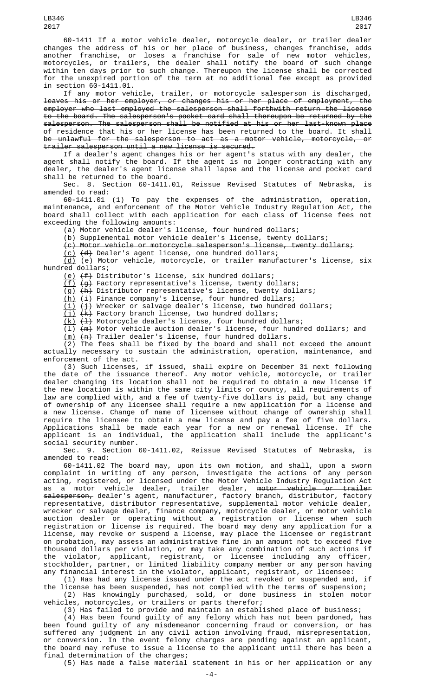60-1411 If a motor vehicle dealer, motorcycle dealer, or trailer dealer changes the address of his or her place of business, changes franchise, adds another franchise, or loses a franchise for sale of new motor vehicles, motorcycles, or trailers, the dealer shall notify the board of such change within ten days prior to such change. Thereupon the license shall be corrected for the unexpired portion of the term at no additional fee except as provided in section 60-1411.01.

If any motor vehicle, trailer, or motorcycle salesperson is discharged, leaves his or her employer, or changes his or her place of employment, the employer who last employed the salesperson shall forthwith return the license to the board. The salesperson's pocket card shall thereupon be returned by the salesperson. The salesperson shall be notified at his or her last-known place of residence that his or her license has been returned to the board. It shall be unlawful for the salesperson to act as a motor vehicle, motorcycle, or trailer salesperson until a new license is secured.

If a dealer's agent changes his or her agent's status with any dealer, the agent shall notify the board. If the agent is no longer contracting with any dealer, the dealer's agent license shall lapse and the license and pocket card shall be returned to the board.

Sec. 8. Section 60-1411.01, Reissue Revised Statutes of Nebraska, is amended to read:

60-1411.01 (1) To pay the expenses of the administration, operation, maintenance, and enforcement of the Motor Vehicle Industry Regulation Act, the board shall collect with each application for each class of license fees not exceeding the following amounts:

(a) Motor vehicle dealer's license, four hundred dollars;

(b) Supplemental motor vehicle dealer's license, twenty dollars;

(c) Motor vehicle or motorcycle salesperson's license, twenty dollars;

<u>(c)</u> <del>(d)</del> Dealer's agent license, one hundred dollars;

(d) (e) Motor vehicle, motorcycle, or trailer manufacturer's license, six hundred dollars;

<u>(e)</u> <del>(f)</del> Distributor's license, six hundred dollars;

(f) (g) Factory representative's license, twenty dollars;

(g) (h) Distributor representative's license, twenty dollars;

<u>(h)</u> <del>(i)</del> Finance company's license, four hundred dollars;

<u>(i)</u> <del>(j)</del> Wrecker or salvage dealer's license, two hundred dollars;

 $(i)$   $(k)$  Factory branch license, two hundred dollars;

(<u>k)</u> <del>(l)</del> Motorcycle dealer's license, four hundred dollars;

 $(\bot)$   $(\top)$  Motor vehicle auction dealer's license, four hundred dollars; and

(m) (n) Trailer dealer's license, four hundred dollars. (2) The fees shall be fixed by the board and shall not exceed the amount actually necessary to sustain the administration, operation, maintenance, and enforcement of the act.

(3) Such licenses, if issued, shall expire on December 31 next following the date of the issuance thereof. Any motor vehicle, motorcycle, or trailer dealer changing its location shall not be required to obtain a new license if the new location is within the same city limits or county, all requirements of law are complied with, and a fee of twenty-five dollars is paid, but any change of ownership of any licensee shall require a new application for a license and a new license. Change of name of licensee without change of ownership shall require the licensee to obtain a new license and pay a fee of five dollars. Applications shall be made each year for a new or renewal license. If the applicant is an individual, the application shall include the applicant's social security number.

Sec. 9. Section 60-1411.02, Reissue Revised Statutes of Nebraska, is amended to read:

60-1411.02 The board may, upon its own motion, and shall, upon a sworn complaint in writing of any person, investigate the actions of any person acting, registered, or licensed under the Motor Vehicle Industry Regulation Act as a motor vehicle dealer, trailer dealer, <del>motor vehicle or trailer</del> salesperson, dealer's agent, manufacturer, factory branch, distributor, factory representative, distributor representative, supplemental motor vehicle dealer, wrecker or salvage dealer, finance company, motorcycle dealer, or motor vehicle auction dealer or operating without a registration or license when such registration or license is required. The board may deny any application for a license, may revoke or suspend a license, may place the licensee or registrant on probation, may assess an administrative fine in an amount not to exceed five thousand dollars per violation, or may take any combination of such actions if the violator, applicant, registrant, or licensee including any officer, stockholder, partner, or limited liability company member or any person having any financial interest in the violator, applicant, registrant, or licensee:

(1) Has had any license issued under the act revoked or suspended and, if the license has been suspended, has not complied with the terms of suspension; (2) Has knowingly purchased, sold, or done business in stolen motor

vehicles, motorcycles, or trailers or parts therefor;

(3) Has failed to provide and maintain an established place of business;

(4) Has been found guilty of any felony which has not been pardoned, has been found guilty of any misdemeanor concerning fraud or conversion, or has suffered any judgment in any civil action involving fraud, misrepresentation, or conversion. In the event felony charges are pending against an applicant, the board may refuse to issue a license to the applicant until there has been a final determination of the charges;

(5) Has made a false material statement in his or her application or any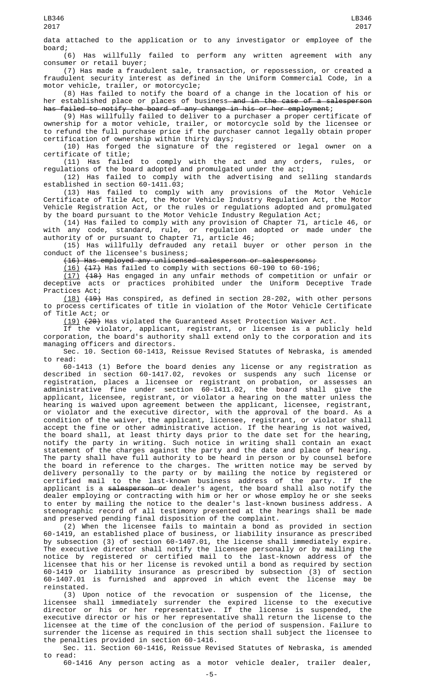data attached to the application or to any investigator or employee of the

board;<br>(6) Has willfully failed to perform any written agreement with any consumer or retail buyer;

(7) Has made a fraudulent sale, transaction, or repossession, or created a fraudulent security interest as defined in the Uniform Commercial Code, in a motor vehicle, trailer, or motorcycle;

(8) Has failed to notify the board of a change in the location of his or her established place or places of business<del> and in the case of a salesperson</del> has failed to notify the board of any change in his or her employment;

(9) Has willfully failed to deliver to a purchaser a proper certificate of ownership for a motor vehicle, trailer, or motorcycle sold by the licensee or to refund the full purchase price if the purchaser cannot legally obtain proper certification of ownership within thirty days;

(10) Has forged the signature of the registered or legal owner on a certificate of title;

(11) Has failed to comply with the act and any orders, rules, or regulations of the board adopted and promulgated under the act;

(12) Has failed to comply with the advertising and selling standards established in section 60-1411.03;

(13) Has failed to comply with any provisions of the Motor Vehicle Certificate of Title Act, the Motor Vehicle Industry Regulation Act, the Motor Vehicle Registration Act, or the rules or regulations adopted and promulgated by the board pursuant to the Motor Vehicle Industry Regulation Act;

(14) Has failed to comply with any provision of Chapter 71, article 46, or with any code, standard, rule, or regulation adopted or made under the authority of or pursuant to Chapter 71, article 46;

(15) Has willfully defrauded any retail buyer or other person in the conduct of the licensee's business;

(16) Has employed any unlicensed salesperson or salespersons;

 $(16)$   $(17)$  Has failed to comply with sections 60-190 to 60-196;

(17) (18) Has engaged in any unfair methods of competition or unfair or deceptive acts or practices prohibited under the Uniform Deceptive Trade Practices Act;

(18) (19) Has conspired, as defined in section 28-202, with other persons to process certificates of title in violation of the Motor Vehicle Certificate of Title Act; or

(19) (20) Has violated the Guaranteed Asset Protection Waiver Act.

If the violator, applicant, registrant, or licensee is a publicly held corporation, the board's authority shall extend only to the corporation and its managing officers and directors.

Sec. 10. Section 60-1413, Reissue Revised Statutes of Nebraska, is amended to read:

60-1413 (1) Before the board denies any license or any registration as described in section 60-1417.02, revokes or suspends any such license or registration, places a licensee or registrant on probation, or assesses an administrative fine under section 60-1411.02, the board shall give the applicant, licensee, registrant, or violator a hearing on the matter unless the hearing is waived upon agreement between the applicant, licensee, registrant, or violator and the executive director, with the approval of the board. As a condition of the waiver, the applicant, licensee, registrant, or violator shall accept the fine or other administrative action. If the hearing is not waived, the board shall, at least thirty days prior to the date set for the hearing, notify the party in writing. Such notice in writing shall contain an exact statement of the charges against the party and the date and place of hearing. The party shall have full authority to be heard in person or by counsel before the board in reference to the charges. The written notice may be served by delivery personally to the party or by mailing the notice by registered or certified mail to the last-known business address of the party. If the applicant is a <del>salesperson or</del> dealer's agent, the board shall also notify the dealer employing or contracting with him or her or whose employ he or she seeks to enter by mailing the notice to the dealer's last-known business address. A stenographic record of all testimony presented at the hearings shall be made and preserved pending final disposition of the complaint.

(2) When the licensee fails to maintain a bond as provided in section 60-1419, an established place of business, or liability insurance as prescribed by subsection (3) of section 60-1407.01, the license shall immediately expire. The executive director shall notify the licensee personally or by mailing the notice by registered or certified mail to the last-known address of the licensee that his or her license is revoked until a bond as required by section 60-1419 or liability insurance as prescribed by subsection (3) of section 60-1407.01 is furnished and approved in which event the license may be reinstated.

(3) Upon notice of the revocation or suspension of the license, the licensee shall immediately surrender the expired license to the executive director or his or her representative. If the license is suspended, the executive director or his or her representative shall return the license to the licensee at the time of the conclusion of the period of suspension. Failure to surrender the license as required in this section shall subject the licensee to the penalties provided in section 60-1416.

Sec. 11. Section 60-1416, Reissue Revised Statutes of Nebraska, is amended to read:

60-1416 Any person acting as a motor vehicle dealer, trailer dealer,